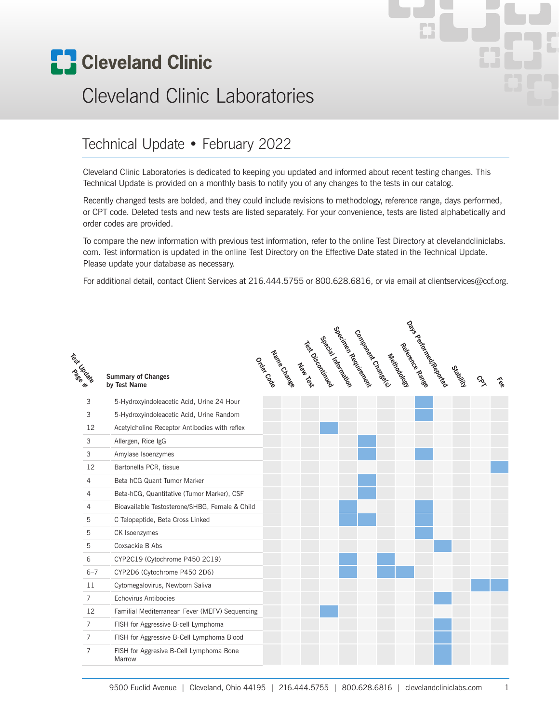

# Cleveland Clinic Laboratories

#### Technical Update • February 2022

Cleveland Clinic Laboratories is dedicated to keeping you updated and informed about recent testing changes. This Technical Update is provided on a monthly basis to notify you of any changes to the tests in our catalog.

Recently changed tests are bolded, and they could include revisions to methodology, reference range, days performed, or CPT code. Deleted tests and new tests are listed separately. For your convenience, tests are listed alphabetically and order codes are provided.

To compare the new information with previous test information, refer to the online Test Directory at clevelandcliniclabs. com. Test information is updated in the online Test Directory on the Effective Date stated in the Technical Update. Please update your database as necessary.

For additional detail, contact Client Services at 216.444.5755 or 800.628.6816, or via email at clientservices@ccf.org.

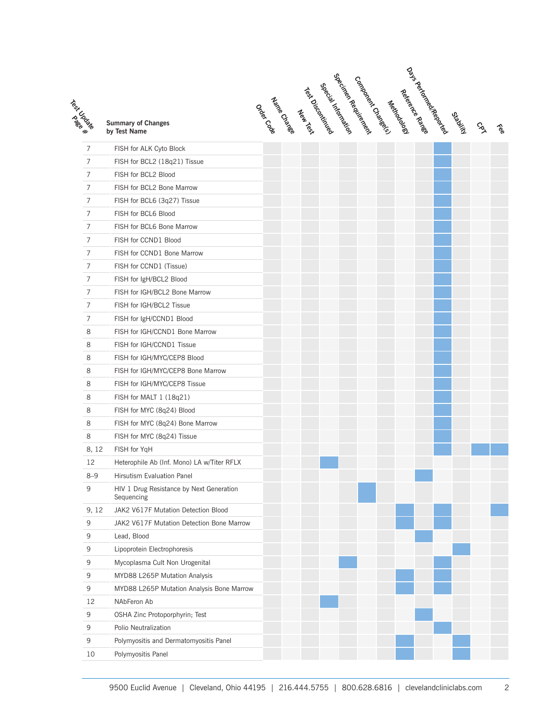| Test Cross     | <b>Summary of Changes</b><br>by Test Name              |
|----------------|--------------------------------------------------------|
| $\overline{7}$ | FISH for ALK Cyto Block                                |
| $\overline{7}$ | FISH for BCL2 (18q21) Tissue                           |
| $\overline{7}$ | FISH for BCL2 Blood                                    |
| $\overline{7}$ | FISH for BCL2 Bone Marrow                              |
| 7              | FISH for BCL6 (3q27) Tissue                            |
| 7              | FISH for BCL6 Blood                                    |
| $\overline{7}$ | FISH for BCL6 Bone Marrow                              |
| 7              | FISH for CCND1 Blood                                   |
| $\overline{7}$ | FISH for CCND1 Bone Marrow                             |
| $\overline{7}$ | FISH for CCND1 (Tissue)                                |
| $\overline{7}$ | FISH for IgH/BCL2 Blood                                |
| 7              | FISH for IGH/BCL2 Bone Marrow                          |
| 7              | FISH for IGH/BCL2 Tissue                               |
| 7              | FISH for IgH/CCND1 Blood                               |
| 8              | FISH for IGH/CCND1 Bone Marrow                         |
| 8              | FISH for IGH/CCND1 Tissue                              |
| 8              | FISH for IGH/MYC/CEP8 Blood                            |
| 8              | FISH for IGH/MYC/CEP8 Bone Marrow                      |
| 8              | FISH for IGH/MYC/CEP8 Tissue                           |
| 8              | FISH for MALT 1 (18q21)                                |
| 8              | FISH for MYC (8q24) Blood                              |
| 8              | FISH for MYC (8q24) Bone Marrow                        |
| 8              | FISH for MYC (8q24) Tissue                             |
| 8, 12          | FISH for YqH                                           |
| 12             | Heterophile Ab (Inf. Mono) LA w/Titer RFLX             |
| $8 - 9$        | <b>Hirsutism Evaluation Panel</b>                      |
| 9              | HIV 1 Drug Resistance by Next Generation<br>Sequencing |
| 9, 12          | JAK2 V617F Mutation Detection Blood                    |
| 9              | JAK2 V617F Mutation Detection Bone Marrow              |
| 9              | Lead, Blood                                            |
| 9              | Lipoprotein Electrophoresis                            |
| 9              | Mycoplasma Cult Non Urogenital                         |
| 9              | MYD88 L265P Mutation Analysis                          |
| 9              | MYD88 L265P Mutation Analysis Bone Marrow              |
| 12             | NAbFeron Ab                                            |
| 9              | OSHA Zinc Protoporphyrin; Test                         |
| 9              | Polio Neutralization                                   |
| 9              | Polymyositis and Dermatomyositis Panel                 |
| 10             | Polymyositis Panel                                     |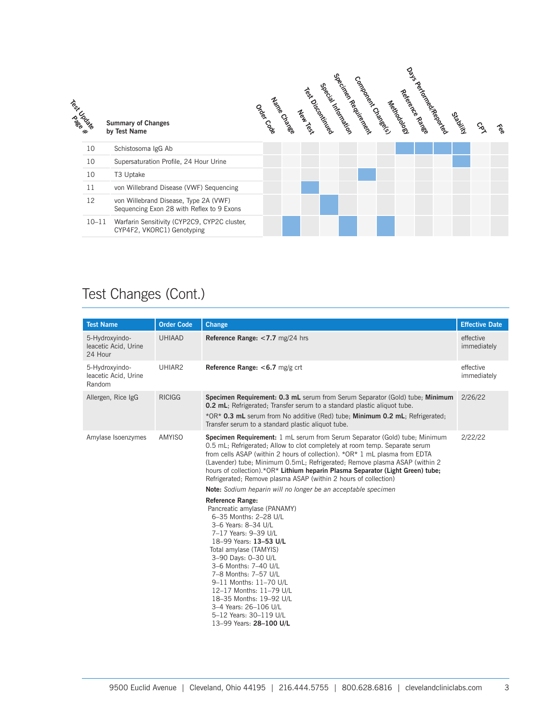

| <b>Test Name</b>                                  | <b>Order Code</b> | Change                                                                                                                                                                                                                                                                                                                                                                                                                                                                      | <b>Effective Date</b>    |
|---------------------------------------------------|-------------------|-----------------------------------------------------------------------------------------------------------------------------------------------------------------------------------------------------------------------------------------------------------------------------------------------------------------------------------------------------------------------------------------------------------------------------------------------------------------------------|--------------------------|
| 5-Hydroxyindo-<br>leacetic Acid, Urine<br>24 Hour | <b>UHIAAD</b>     | Reference Range: <7.7 mg/24 hrs                                                                                                                                                                                                                                                                                                                                                                                                                                             | effective<br>immediately |
| 5-Hydroxyindo-<br>leacetic Acid, Urine<br>Random  | UHIAR2            | Reference Range: <6.7 mg/g crt                                                                                                                                                                                                                                                                                                                                                                                                                                              | effective<br>immediately |
| Allergen, Rice IgG                                | <b>RICIGG</b>     | Specimen Requirement: 0.3 mL serum from Serum Separator (Gold) tube; Minimum<br><b>0.2 mL</b> ; Refrigerated; Transfer serum to a standard plastic aliquot tube.<br>*OR* 0.3 mL serum from No additive (Red) tube; Minimum 0.2 mL; Refrigerated;<br>Transfer serum to a standard plastic aliquot tube.                                                                                                                                                                      | 2/26/22                  |
| Amylase Isoenzymes                                | <b>AMYISO</b>     | Specimen Requirement: 1 mL serum from Serum Separator (Gold) tube; Minimum<br>0.5 mL; Refrigerated; Allow to clot completely at room temp. Separate serum<br>from cells ASAP (within 2 hours of collection). *OR* 1 mL plasma from EDTA<br>(Lavender) tube; Minimum 0.5mL; Refrigerated; Remove plasma ASAP (within 2)<br>hours of collection).*OR* Lithium heparin Plasma Separator (Light Green) tube;<br>Refrigerated; Remove plasma ASAP (within 2 hours of collection) | 2/22/22                  |
|                                                   |                   | Note: Sodium heparin will no longer be an acceptable specimen                                                                                                                                                                                                                                                                                                                                                                                                               |                          |
|                                                   |                   | <b>Reference Range:</b><br>Pancreatic amylase (PANAMY)<br>6-35 Months: 2-28 U/L<br>3-6 Years: 8-34 U/L<br>7-17 Years: 9-39 U/L<br>18-99 Years: 13-53 U/L<br>Total amylase (TAMYIS)<br>3-90 Days: 0-30 U/L<br>3-6 Months: 7-40 U/L<br>7-8 Months: 7-57 U/L<br>9-11 Months: 11-70 U/L<br>12-17 Months: 11-79 U/L<br>18-35 Months: 19-92 U/L<br>3-4 Years: 26-106 U/L<br>5-12 Years: 30-119 U/L<br>13-99 Years: 28-100 U/L                                                     |                          |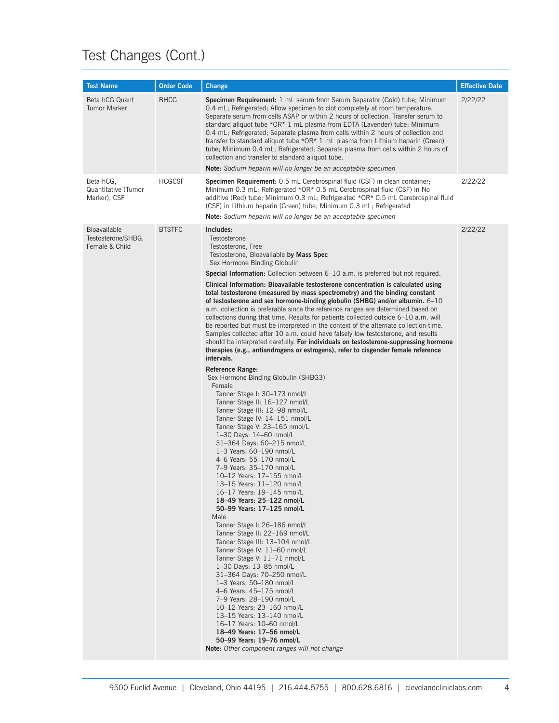| <b>Test Name</b>                                            | <b>Order Code</b> | <b>Change</b>                                                                                                                                                                                                                                                                                                                                                                                                                                                                                                                                                                                                                                                                                                                                                                                                                                                                                                                                                                                                                                                                                                                                                                                                                                                                                                                                                                                                                                                                                                                                                                                                                                                                                                                                                                                                                                                                                                                                                                                                                                                                                                         | <b>Effective Date</b> |
|-------------------------------------------------------------|-------------------|-----------------------------------------------------------------------------------------------------------------------------------------------------------------------------------------------------------------------------------------------------------------------------------------------------------------------------------------------------------------------------------------------------------------------------------------------------------------------------------------------------------------------------------------------------------------------------------------------------------------------------------------------------------------------------------------------------------------------------------------------------------------------------------------------------------------------------------------------------------------------------------------------------------------------------------------------------------------------------------------------------------------------------------------------------------------------------------------------------------------------------------------------------------------------------------------------------------------------------------------------------------------------------------------------------------------------------------------------------------------------------------------------------------------------------------------------------------------------------------------------------------------------------------------------------------------------------------------------------------------------------------------------------------------------------------------------------------------------------------------------------------------------------------------------------------------------------------------------------------------------------------------------------------------------------------------------------------------------------------------------------------------------------------------------------------------------------------------------------------------------|-----------------------|
| Beta hCG Quant<br><b>Tumor Marker</b>                       | <b>BHCG</b>       | <b>Specimen Requirement:</b> 1 mL serum from Serum Separator (Gold) tube; Minimum<br>0.4 mL; Refrigerated; Allow specimen to clot completely at room temperature.<br>Separate serum from cells ASAP or within 2 hours of collection. Transfer serum to<br>standard aliquot tube *OR* 1 mL plasma from EDTA (Lavender) tube; Minimum<br>0.4 mL; Refrigerated; Separate plasma from cells within 2 hours of collection and<br>transfer to standard aliquot tube *OR* 1 mL plasma from Lithium heparin (Green)<br>tube; Minimum 0.4 mL; Refrigerated; Separate plasma from cells within 2 hours of<br>collection and transfer to standard aliquot tube.<br><b>Note:</b> Sodium heparin will no longer be an acceptable specimen                                                                                                                                                                                                                                                                                                                                                                                                                                                                                                                                                                                                                                                                                                                                                                                                                                                                                                                                                                                                                                                                                                                                                                                                                                                                                                                                                                                          | 2/22/22               |
| Beta-hCG,<br>Quantitative (Tumor<br>Marker), CSF            | <b>HCGCSF</b>     | <b>Specimen Requirement:</b> 0.5 mL Cerebrospinal fluid (CSF) in clean container;<br>Minimum 0.3 mL; Refrigerated *OR* 0.5 mL Cerebrospinal fluid (CSF) in No<br>additive (Red) tube; Minimum 0.3 mL; Refrigerated *OR* 0.5 mL Cerebrospinal fluid<br>(CSF) in Lithium heparin (Green) tube; Minimum 0.3 mL; Refrigerated<br><b>Note:</b> Sodium heparin will no longer be an acceptable specimen                                                                                                                                                                                                                                                                                                                                                                                                                                                                                                                                                                                                                                                                                                                                                                                                                                                                                                                                                                                                                                                                                                                                                                                                                                                                                                                                                                                                                                                                                                                                                                                                                                                                                                                     | 2/22/22               |
| <b>Bioavailable</b><br>Testosterone/SHBG,<br>Female & Child | <b>BTSTFC</b>     | Includes:<br>Testosterone<br>Testosterone, Free<br>Testosterone, Bioavailable by Mass Spec<br>Sex Hormone Binding Globulin<br><b>Special Information:</b> Collection between 6–10 a.m. is preferred but not required.<br>Clinical Information: Bioavailable testosterone concentration is calculated using<br>total testosterone (measured by mass spectrometry) and the binding constant<br>of testosterone and sex hormone-binding globulin (SHBG) and/or albumin. $6\text{--}10$<br>a.m. collection is preferable since the reference ranges are determined based on<br>collections during that time. Results for patients collected outside 6–10 a.m. will<br>be reported but must be interpreted in the context of the alternate collection time.<br>Samples collected after 10 a.m. could have falsely low testosterone, and results<br>should be interpreted carefully. For individuals on testosterone-suppressing hormone<br>therapies (e.g., antiandrogens or estrogens), refer to cisgender female reference<br>intervals.<br>Reference Range:<br>Sex Hormone Binding Globulin (SHBG3)<br>Female<br>Tanner Stage I: 30–173 nmol/L<br>Tanner Stage II: 16-127 nmol/L<br>Tanner Stage III: 12-98 nmol/L<br>Tanner Stage IV: 14–151 nmol/L<br>Tanner Stage V: 23-165 nmol/L<br>1-30 Days: 14-60 nmol/L<br>31-364 Days: 60-215 nmol/L<br>1-3 Years: 60-190 nmol/L<br>4-6 Years: 55-170 nmol/L<br>7-9 Years: 35-170 nmol/L<br>10-12 Years: 17-155 nmol/L<br>13-15 Years: 11-120 nmol/L<br>16-17 Years: 19-145 nmol/L<br>18-49 Years: 25-122 nmol/L<br>50-99 Years: 17-125 nmol/L<br>Male<br>Tanner Stage I: 26-186 nmol/L<br>Tanner Stage II: 22-169 nmol/L<br>Tanner Stage III: 13-104 nmol/L<br>Tanner Stage IV: 11-60 nmol/L<br>Tanner Stage V: 11-71 nmol/L<br>1-30 Days: 13-85 nmol/L<br>31-364 Days: 70-250 nmol/L<br>1-3 Years: 50-180 nmol/L<br>4-6 Years: 45-175 nmol/L<br>7-9 Years: 28-190 nmol/L<br>10-12 Years: 23-160 nmol/L<br>13-15 Years: 13-140 nmol/L<br>16-17 Years: 10-60 nmol/L<br>18-49 Years: 17-56 nmol/L<br>50-99 Years: 19-76 nmol/L<br>Note: Other component ranges will not change | 2/22/22               |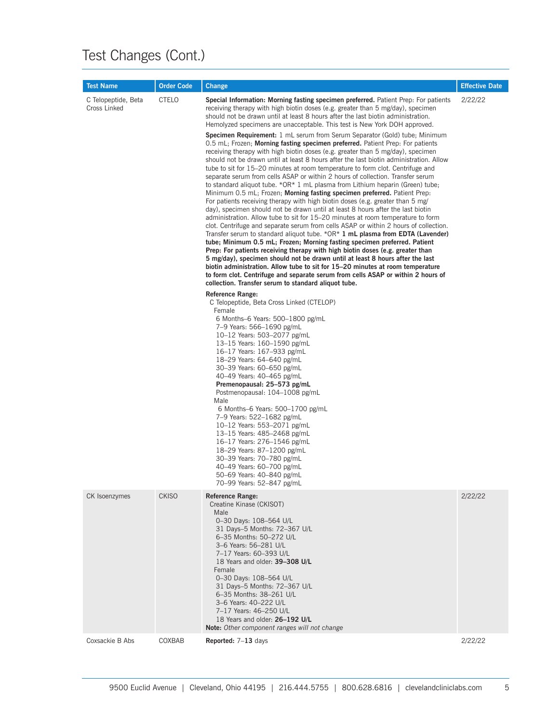| <b>Test Name</b>                    | <b>Order Code</b> | <b>Change</b>                                                                                                                                                                                                                                                                                                                                                                                                                                                                                                                                                                                                                                                                                                                                                                                                                                                                                                                                                                                                                                                                                                                                                                                                                                                                                                                                                                                                                                                                                                                                                                                                                                                                                                                                                                                                                                                                                                                                                                                                                                                                                                                                                                                                                                                                                                                                                                                                                                                                                                                                                                                                                                                                    | <b>Effective Date</b> |
|-------------------------------------|-------------------|----------------------------------------------------------------------------------------------------------------------------------------------------------------------------------------------------------------------------------------------------------------------------------------------------------------------------------------------------------------------------------------------------------------------------------------------------------------------------------------------------------------------------------------------------------------------------------------------------------------------------------------------------------------------------------------------------------------------------------------------------------------------------------------------------------------------------------------------------------------------------------------------------------------------------------------------------------------------------------------------------------------------------------------------------------------------------------------------------------------------------------------------------------------------------------------------------------------------------------------------------------------------------------------------------------------------------------------------------------------------------------------------------------------------------------------------------------------------------------------------------------------------------------------------------------------------------------------------------------------------------------------------------------------------------------------------------------------------------------------------------------------------------------------------------------------------------------------------------------------------------------------------------------------------------------------------------------------------------------------------------------------------------------------------------------------------------------------------------------------------------------------------------------------------------------------------------------------------------------------------------------------------------------------------------------------------------------------------------------------------------------------------------------------------------------------------------------------------------------------------------------------------------------------------------------------------------------------------------------------------------------------------------------------------------------|-----------------------|
| C Telopeptide, Beta<br>Cross Linked | <b>CTELO</b>      | Special Information: Morning fasting specimen preferred. Patient Prep: For patients<br>receiving therapy with high biotin doses (e.g. greater than 5 mg/day), specimen<br>should not be drawn until at least 8 hours after the last biotin administration.<br>Hemolyzed specimens are unacceptable. This test is New York DOH approved.<br><b>Specimen Requirement:</b> 1 mL serum from Serum Separator (Gold) tube; Minimum<br>0.5 mL; Frozen; <b>Morning fasting specimen preferred.</b> Patient Prep: For patients<br>receiving therapy with high biotin doses (e.g. greater than 5 mg/day), specimen<br>should not be drawn until at least 8 hours after the last biotin administration. Allow<br>tube to sit for 15–20 minutes at room temperature to form clot. Centrifuge and<br>separate serum from cells ASAP or within 2 hours of collection. Transfer serum<br>to standard aliquot tube. $*OR*1$ mL plasma from Lithium heparin (Green) tube;<br>Minimum 0.5 mL; Frozen; Morning fasting specimen preferred. Patient Prep.<br>For patients receiving therapy with high biotin doses (e.g. greater than 5 mg/<br>day), specimen should not be drawn until at least 8 hours after the last biotin<br>administration. Allow tube to sit for 15–20 minutes at room temperature to form<br>clot. Centrifuge and separate serum from cells ASAP or within 2 hours of collection.<br>Transfer serum to standard aliquot tube. $*OR*1$ mL plasma from EDTA (Lavender)<br>tube; Minimum 0.5 mL; Frozen; Morning fasting specimen preferred. Patient<br>Prep: For patients receiving therapy with high biotin doses (e.g. greater than<br>5 mg/day), specimen should not be drawn until at least 8 hours after the last<br>biotin administration. Allow tube to sit for 15–20 minutes at room temperature<br>to form clot. Centrifuge and separate serum from cells ASAP or within 2 hours of<br>collection. Transfer serum to standard aliquot tube.<br>Reference Range:<br>C Telopeptide, Beta Cross Linked (CTELOP)<br>Female<br>6 Months-6 Years: 500-1800 pg/mL<br>7-9 Years: 566-1690 pg/mL<br>10-12 Years: 503-2077 pg/mL<br>13-15 Years: 160-1590 pg/mL<br>16-17 Years: 167-933 pg/mL<br>18-29 Years: 64-640 pg/mL<br>30-39 Years: 60-650 pg/mL<br>40-49 Years: 40-465 pg/mL<br>Premenopausal: 25–573 pg/mL<br>Postmenopausal: 104-1008 pg/mL<br>Male<br>6 Months-6 Years: $500-1700$ pg/mL<br>7-9 Years: 522-1682 pg/mL<br>10-12 Years: 553-2071 pg/mL<br>13-15 Years: 485-2468 pg/mL<br>16-17 Years: 276-1546 pg/mL<br>18-29 Years: 87-1200 pg/mL<br>30-39 Years: 70-780 pg/mL<br>40-49 Years: 60-700 pg/mL<br>50-69 Years: 40-840 pg/mL<br>70-99 Years: 52-847 pg/mL | 2/22/22               |
| CK Isoenzymes                       | <b>CKISO</b>      | <b>Reference Range:</b><br>Creatine Kinase (CKISOT)<br>Male<br>0-30 Days: 108-564 U/L<br>31 Days-5 Months: 72-367 U/L<br>6-35 Months: 50-272 U/L<br>3-6 Years: 56-281 U/L<br>7-17 Years: 60-393 U/L<br>18 Years and older: 39-308 U/L<br>Female<br>0-30 Days: 108-564 U/L<br>31 Days-5 Months: 72-367 U/L<br>6-35 Months: 38-261 U/L<br>3-6 Years: 40-222 U/L<br>7-17 Years: 46-250 U/L<br>18 Years and older: 26-192 U/L<br>Note: Other component ranges will not change                                                                                                                                                                                                                                                                                                                                                                                                                                                                                                                                                                                                                                                                                                                                                                                                                                                                                                                                                                                                                                                                                                                                                                                                                                                                                                                                                                                                                                                                                                                                                                                                                                                                                                                                                                                                                                                                                                                                                                                                                                                                                                                                                                                                        | 2/22/22               |
| Coxsackie B Abs                     | COXBAB            | Reported: 7-13 days                                                                                                                                                                                                                                                                                                                                                                                                                                                                                                                                                                                                                                                                                                                                                                                                                                                                                                                                                                                                                                                                                                                                                                                                                                                                                                                                                                                                                                                                                                                                                                                                                                                                                                                                                                                                                                                                                                                                                                                                                                                                                                                                                                                                                                                                                                                                                                                                                                                                                                                                                                                                                                                              | 2/22/22               |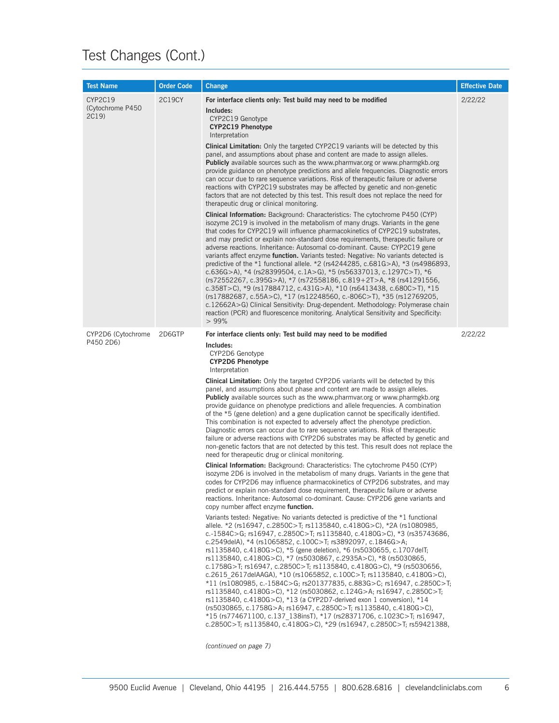| <b>Test Name</b>                     | <b>Order Code</b> | Change                                                                                                                                                                                                                                                                                                                                                                                                                                                                                                                                                                                                                                                                                                                                                                                                                                                                                                                                                                                                                                                                                                                                                                                                                                                                                                                                                                                                                                                                                                                                                                                                                                                                                                                                                                                                                                                                                                                                                                                                                                                                                                                                                                                                                                                                                                                                                                                                                                                                                                                                                   | <b>Effective Date</b> |
|--------------------------------------|-------------------|----------------------------------------------------------------------------------------------------------------------------------------------------------------------------------------------------------------------------------------------------------------------------------------------------------------------------------------------------------------------------------------------------------------------------------------------------------------------------------------------------------------------------------------------------------------------------------------------------------------------------------------------------------------------------------------------------------------------------------------------------------------------------------------------------------------------------------------------------------------------------------------------------------------------------------------------------------------------------------------------------------------------------------------------------------------------------------------------------------------------------------------------------------------------------------------------------------------------------------------------------------------------------------------------------------------------------------------------------------------------------------------------------------------------------------------------------------------------------------------------------------------------------------------------------------------------------------------------------------------------------------------------------------------------------------------------------------------------------------------------------------------------------------------------------------------------------------------------------------------------------------------------------------------------------------------------------------------------------------------------------------------------------------------------------------------------------------------------------------------------------------------------------------------------------------------------------------------------------------------------------------------------------------------------------------------------------------------------------------------------------------------------------------------------------------------------------------------------------------------------------------------------------------------------------------|-----------------------|
| CYP2C19<br>(Cytochrome P450<br>2C19) | 2C19CY            | For interface clients only: Test build may need to be modified<br>Includes:<br>CYP2C19 Genotype<br>CYP2C19 Phenotype<br>Interpretation<br><b>Clinical Limitation:</b> Only the targeted CYP2C19 variants will be detected by this<br>panel, and assumptions about phase and content are made to assign alleles.<br><b>Publicly</b> available sources such as the www.pharmyar.org or www.pharmgkb.org<br>provide guidance on phenotype predictions and allele frequencies. Diagnostic errors<br>can occur due to rare sequence variations. Risk of therapeutic failure or adverse<br>reactions with CYP2C19 substrates may be affected by genetic and non-genetic<br>factors that are not detected by this test. This result does not replace the need for<br>therapeutic drug or clinical monitoring.<br>Clinical Information: Background: Characteristics: The cytochrome P450 (CYP)<br>isozyme 2C19 is involved in the metabolism of many drugs. Variants in the gene<br>that codes for CYP2C19 will influence pharmacokinetics of CYP2C19 substrates,<br>and may predict or explain non-standard dose requirements, therapeutic failure or<br>adverse reactions. Inheritance: Autosomal co-dominant. Cause: CYP2C19 gene<br>variants affect enzyme <b>function.</b> Variants tested: Negative: No variants detected is<br>predictive of the $*1$ functional allele. $*2$ (rs4244285, c.681G>A), $*3$ (rs4986893,<br>c.636G>A), *4 (rs28399504, c.1A>G), *5 (rs56337013, c.1297C>T), *6<br>(rs72552267, c.395G>A), *7 (rs72558186, c.819+2T>A, *8 (rs41291556,<br>c.358T>C), *9 (rs17884712, c.431G>A), *10 (rs6413438, c.680C>T), *15<br>(rs17882687, c.55A>C), *17 (rs12248560, c.-806C>T), *35 (rs12769205,<br>c.12662A>G) Clinical Sensitivity: Drug-dependent. Methodology: Polymerase chain<br>reaction (PCR) and fluorescence monitoring. Analytical Sensitivity and Specificity:<br>>99%                                                                                                                                                                                                                                                                                                                                                                                                                                                                                                                                                                                                                                                      | 2/22/22               |
| CYP2D6 (Cytochrome<br>P450 2D6)      | 2D6GTP            | For interface clients only: Test build may need to be modified<br>Includes:<br>CYP2D6 Genotype<br><b>CYP2D6 Phenotype</b><br>Interpretation<br><b>Clinical Limitation:</b> Only the targeted CYP2D6 variants will be detected by this<br>panel, and assumptions about phase and content are made to assign alleles.<br><b>Publicly</b> available sources such as the www.pharmvar.org or www.pharmgkb.org<br>provide guidance on phenotype predictions and allele frequencies. A combination<br>of the *5 (gene deletion) and a gene duplication cannot be specifically identified.<br>This combination is not expected to adversely affect the phenotype prediction.<br>Diagnostic errors can occur due to rare sequence variations. Risk of therapeutic<br>failure or adverse reactions with CYP2D6 substrates may be affected by genetic and<br>non-genetic factors that are not detected by this test. This result does not replace the<br>need for therapeutic drug or clinical monitoring.<br><b>Clinical Information:</b> Background: Characteristics: The cytochrome P450 (CYP)<br>isozyme 2D6 is involved in the metabolism of many drugs. Variants in the gene that<br>codes for CYP2D6 may influence pharmacokinetics of CYP2D6 substrates, and may<br>predict or explain non-standard dose requirement, therapeutic failure or adverse<br>reactions. Inheritance: Autosomal co-dominant. Cause: CYP2D6 gene variants and<br>copy number affect enzyme function.<br>Variants tested: Negative: No variants detected is predictive of the *1 functional<br>allele. *2 (rs16947, c.2850C>T; rs1135840, c.4180G>C), *2A (rs1080985,<br>c.-1584C>G; rs16947, c.2850C>T; rs1135840, c.4180G>C), *3 (rs35743686,<br>c.2549delA), $*4$ (rs1065852, c.100C>T; rs3892097, c.1846G>A;<br>rs1135840, c.4180G>C), *5 (gene deletion), *6 (rs5030655, c.1707delT;<br>rs1135840, c.4180G>C), *7 (rs5030867, c.2935A>C), *8 (rs5030865,<br>c.1758G>T; rs16947, c.2850C>T; rs1135840, c.4180G>C), *9 (rs5030656,<br>c.2615 2617delAAGA), $*10$ (rs1065852, c.100C>T; rs1135840, c.4180G>C),<br>*11 (rs1080985, c.-1584C>G; rs201377835, c.883G>C; rs16947, c.2850C>T;<br>rs1135840, c.4180G>C), *12 (rs5030862, c.124G>A; rs16947, c.2850C>T;<br>rs1135840, c.4180G>C), $*13$ (a CYP2D7-derived exon 1 conversion), $*14$<br>$(rs5030865, c.1758G > A; rs16947, c.2850C > T; rs1135840, c.4180G > C)$<br>$*15$ (rs774671100, c.137 138insT), $*17$ (rs28371706, c.1023C>T; rs16947,<br>c.2850C>T; rs1135840, c.4180G>C), *29 (rs16947, c.2850C>T; rs59421388, | 2/22/22               |

*(continued on page 7)*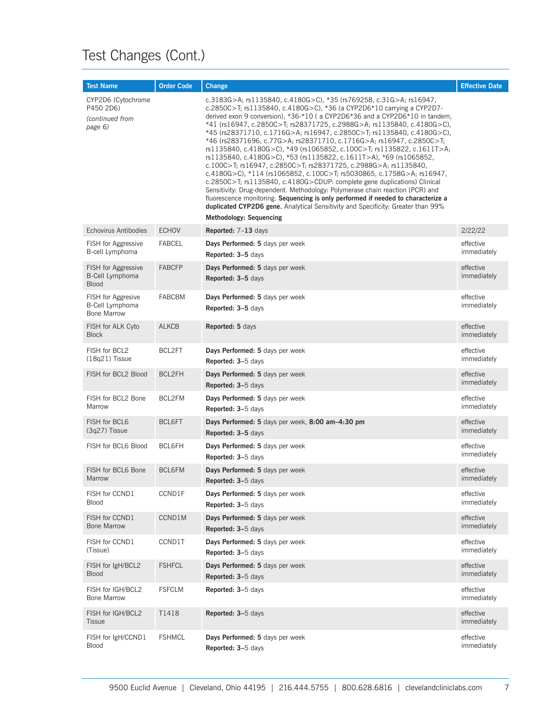| <b>Test Name</b>                                                   | <b>Order Code</b> | Change                                                                                                                                                                                                                                                                                                                                                                                                                                                                                                                                                                                                                                                                                                                                                                                                                                                                                                                                                                                                                                                                                                                             | <b>Effective Date</b>    |
|--------------------------------------------------------------------|-------------------|------------------------------------------------------------------------------------------------------------------------------------------------------------------------------------------------------------------------------------------------------------------------------------------------------------------------------------------------------------------------------------------------------------------------------------------------------------------------------------------------------------------------------------------------------------------------------------------------------------------------------------------------------------------------------------------------------------------------------------------------------------------------------------------------------------------------------------------------------------------------------------------------------------------------------------------------------------------------------------------------------------------------------------------------------------------------------------------------------------------------------------|--------------------------|
| CYP2D6 (Cytochrome<br>P450 2D6)<br>(continued from<br>page 6)      |                   | c.3183G>A; rs1135840, c.4180G>C), *35 (rs769258, c.31G>A; rs16947,<br>c.2850C>T; rs1135840, c.4180G>C), *36 (a CYP2D6*10 carrying a CYP2D7-<br>derived exon 9 conversion), $*36-*10$ (a CYP2D6 $*36$ and a CYP2D6 $*10$ in tandem,<br>*41 (rs16947, c.2850C>T; rs28371725, c.2988G>A; rs1135840, c.4180G>C),<br>*45 (rs28371710, c.1716G>A; rs16947, c.2850C>T; rs1135840, c.4180G>C),<br>*46 (rs28371696, c.77G>A; rs28371710, c.1716G>A; rs16947, c.2850C>T;<br>rs1135840, c.4180G>C), *49 (rs1065852, c.100C>T; rs1135822, c.1611T>A;<br>rs1135840, c.4180G>C), *53 (rs1135822, c.1611T>A), *69 (rs1065852,<br>c.100C>T; rs16947, c.2850C>T; rs28371725, c.2988G>A; rs1135840,<br>c.4180G>C), *114 (rs1065852, c.100C>T; rs5030865, c.1758G>A; rs16947,<br>c.2850C>T; rs1135840, c.4180G>CDUP: complete gene duplications) Clinical<br>Sensitivity: Drug-dependent. Methodology: Polymerase chain reaction (PCR) and<br>fluorescence monitoring. Sequencing is only performed if needed to characterize a<br>duplicated CYP2D6 gene. Analytical Sensitivity and Specificity: Greater than 99%<br><b>Methodology: Sequencing</b> |                          |
| <b>Echovirus Antibodies</b>                                        | <b>ECHOV</b>      | Reported: 7-13 days                                                                                                                                                                                                                                                                                                                                                                                                                                                                                                                                                                                                                                                                                                                                                                                                                                                                                                                                                                                                                                                                                                                | 2/22/22                  |
| FISH for Aggressive                                                | <b>FABCEL</b>     | Days Performed: 5 days per week                                                                                                                                                                                                                                                                                                                                                                                                                                                                                                                                                                                                                                                                                                                                                                                                                                                                                                                                                                                                                                                                                                    | effective                |
| B-cell Lymphoma                                                    |                   | Reported: 3-5 days                                                                                                                                                                                                                                                                                                                                                                                                                                                                                                                                                                                                                                                                                                                                                                                                                                                                                                                                                                                                                                                                                                                 | immediately              |
| <b>FISH</b> for Aggressive<br>B-Cell Lymphoma<br><b>Blood</b>      | <b>FABCFP</b>     | Days Performed: 5 days per week<br>Reported: 3-5 days                                                                                                                                                                                                                                                                                                                                                                                                                                                                                                                                                                                                                                                                                                                                                                                                                                                                                                                                                                                                                                                                              | effective<br>immediately |
| <b>FISH</b> for Aggresive<br>B-Cell Lymphoma<br><b>Bone Marrow</b> | <b>FABCBM</b>     | Days Performed: 5 days per week<br>Reported: 3-5 days                                                                                                                                                                                                                                                                                                                                                                                                                                                                                                                                                                                                                                                                                                                                                                                                                                                                                                                                                                                                                                                                              | effective<br>immediately |
| FISH for ALK Cyto<br><b>Block</b>                                  | <b>ALKCB</b>      | Reported: 5 days                                                                                                                                                                                                                                                                                                                                                                                                                                                                                                                                                                                                                                                                                                                                                                                                                                                                                                                                                                                                                                                                                                                   | effective<br>immediately |
| FISH for BCL2                                                      | BCL2FT            | Days Performed: 5 days per week                                                                                                                                                                                                                                                                                                                                                                                                                                                                                                                                                                                                                                                                                                                                                                                                                                                                                                                                                                                                                                                                                                    | effective                |
| $(18q21)$ Tissue                                                   |                   | Reported: 3-5 days                                                                                                                                                                                                                                                                                                                                                                                                                                                                                                                                                                                                                                                                                                                                                                                                                                                                                                                                                                                                                                                                                                                 | immediately              |
| FISH for BCL2 Blood                                                | BCL2FH            | Days Performed: 5 days per week<br>Reported: 3-5 days                                                                                                                                                                                                                                                                                                                                                                                                                                                                                                                                                                                                                                                                                                                                                                                                                                                                                                                                                                                                                                                                              | effective<br>immediately |
| FISH for BCL2 Bone                                                 | BCL2FM            | Days Performed: 5 days per week                                                                                                                                                                                                                                                                                                                                                                                                                                                                                                                                                                                                                                                                                                                                                                                                                                                                                                                                                                                                                                                                                                    | effective                |
| Marrow                                                             |                   | Reported: 3-5 days                                                                                                                                                                                                                                                                                                                                                                                                                                                                                                                                                                                                                                                                                                                                                                                                                                                                                                                                                                                                                                                                                                                 | immediately              |
| FISH for BCL6                                                      | BCL6FT            | Days Performed: 5 days per week, 8:00 am-4:30 pm                                                                                                                                                                                                                                                                                                                                                                                                                                                                                                                                                                                                                                                                                                                                                                                                                                                                                                                                                                                                                                                                                   | effective                |
| $(3q27)$ Tissue                                                    |                   | Reported: 3-5 days                                                                                                                                                                                                                                                                                                                                                                                                                                                                                                                                                                                                                                                                                                                                                                                                                                                                                                                                                                                                                                                                                                                 | immediately              |
| FISH for BCL6 Blood                                                | BCL6FH            | Days Performed: 5 days per week<br>Reported: 3-5 days                                                                                                                                                                                                                                                                                                                                                                                                                                                                                                                                                                                                                                                                                                                                                                                                                                                                                                                                                                                                                                                                              | effective<br>immediately |
| FISH for BCL6 Bone                                                 | <b>BCL6FM</b>     | Days Performed: 5 days per week                                                                                                                                                                                                                                                                                                                                                                                                                                                                                                                                                                                                                                                                                                                                                                                                                                                                                                                                                                                                                                                                                                    | effective                |
| Marrow                                                             |                   | <b>Reported: 3–5 days</b>                                                                                                                                                                                                                                                                                                                                                                                                                                                                                                                                                                                                                                                                                                                                                                                                                                                                                                                                                                                                                                                                                                          | immediately              |
| FISH for CCND1                                                     | CCND1F            | Days Performed: 5 days per week                                                                                                                                                                                                                                                                                                                                                                                                                                                                                                                                                                                                                                                                                                                                                                                                                                                                                                                                                                                                                                                                                                    | effective                |
| Blood                                                              |                   | Reported: 3-5 days                                                                                                                                                                                                                                                                                                                                                                                                                                                                                                                                                                                                                                                                                                                                                                                                                                                                                                                                                                                                                                                                                                                 | immediately              |
| FISH for CCND1                                                     | CCND1M            | Days Performed: 5 days per week                                                                                                                                                                                                                                                                                                                                                                                                                                                                                                                                                                                                                                                                                                                                                                                                                                                                                                                                                                                                                                                                                                    | effective                |
| <b>Bone Marrow</b>                                                 |                   | Reported: 3-5 days                                                                                                                                                                                                                                                                                                                                                                                                                                                                                                                                                                                                                                                                                                                                                                                                                                                                                                                                                                                                                                                                                                                 | immediately              |
| FISH for CCND1                                                     | CCND1T            | Days Performed: 5 days per week                                                                                                                                                                                                                                                                                                                                                                                                                                                                                                                                                                                                                                                                                                                                                                                                                                                                                                                                                                                                                                                                                                    | effective                |
| (Tissue)                                                           |                   | Reported: 3-5 days                                                                                                                                                                                                                                                                                                                                                                                                                                                                                                                                                                                                                                                                                                                                                                                                                                                                                                                                                                                                                                                                                                                 | immediately              |
| FISH for IgH/BCL2                                                  | <b>FSHFCL</b>     | Days Performed: 5 days per week                                                                                                                                                                                                                                                                                                                                                                                                                                                                                                                                                                                                                                                                                                                                                                                                                                                                                                                                                                                                                                                                                                    | effective                |
| <b>Blood</b>                                                       |                   | Reported: 3-5 days                                                                                                                                                                                                                                                                                                                                                                                                                                                                                                                                                                                                                                                                                                                                                                                                                                                                                                                                                                                                                                                                                                                 | immediately              |
| FISH for IGH/BCL2<br><b>Bone Marrow</b>                            | <b>FSFCLM</b>     | Reported: 3-5 days                                                                                                                                                                                                                                                                                                                                                                                                                                                                                                                                                                                                                                                                                                                                                                                                                                                                                                                                                                                                                                                                                                                 | effective<br>immediately |
| FISH for IGH/BCL2<br><b>Tissue</b>                                 | T1418             | Reported: 3-5 days                                                                                                                                                                                                                                                                                                                                                                                                                                                                                                                                                                                                                                                                                                                                                                                                                                                                                                                                                                                                                                                                                                                 | effective<br>immediately |
| FISH for IgH/CCND1                                                 | <b>FSHMCL</b>     | Days Performed: 5 days per week                                                                                                                                                                                                                                                                                                                                                                                                                                                                                                                                                                                                                                                                                                                                                                                                                                                                                                                                                                                                                                                                                                    | effective                |
| <b>Blood</b>                                                       |                   | Reported: 3-5 days                                                                                                                                                                                                                                                                                                                                                                                                                                                                                                                                                                                                                                                                                                                                                                                                                                                                                                                                                                                                                                                                                                                 | immediately              |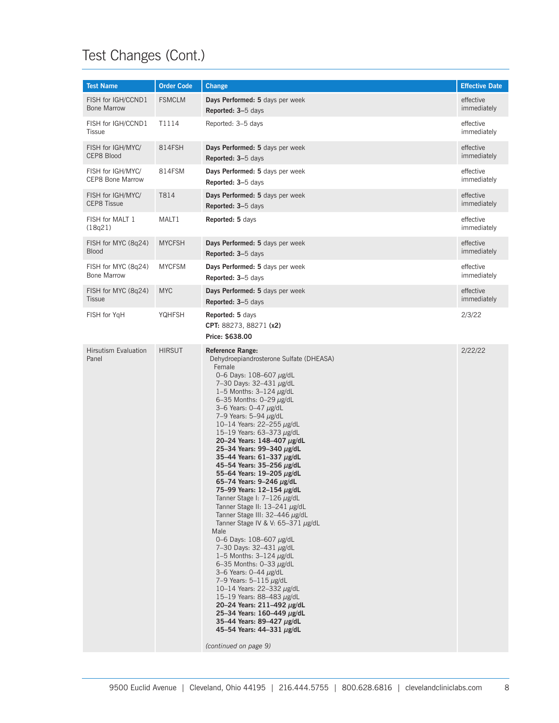| <b>Test Name</b>                     | <b>Order Code</b> | <b>Change</b>                                                                                                                                                                                                                                                                                                                                                                                                                                                                                                                                                                                                                                                                                                                                                                                                                                                                                                                                                                                                                                                                                               | <b>Effective Date</b>    |
|--------------------------------------|-------------------|-------------------------------------------------------------------------------------------------------------------------------------------------------------------------------------------------------------------------------------------------------------------------------------------------------------------------------------------------------------------------------------------------------------------------------------------------------------------------------------------------------------------------------------------------------------------------------------------------------------------------------------------------------------------------------------------------------------------------------------------------------------------------------------------------------------------------------------------------------------------------------------------------------------------------------------------------------------------------------------------------------------------------------------------------------------------------------------------------------------|--------------------------|
| FISH for IGH/CCND1                   | <b>FSMCLM</b>     | Days Performed: 5 days per week                                                                                                                                                                                                                                                                                                                                                                                                                                                                                                                                                                                                                                                                                                                                                                                                                                                                                                                                                                                                                                                                             | effective                |
| <b>Bone Marrow</b>                   |                   | Reported: 3-5 days                                                                                                                                                                                                                                                                                                                                                                                                                                                                                                                                                                                                                                                                                                                                                                                                                                                                                                                                                                                                                                                                                          | immediately              |
| FISH for IGH/CCND1<br><b>Tissue</b>  | T1114             | Reported: 3-5 days                                                                                                                                                                                                                                                                                                                                                                                                                                                                                                                                                                                                                                                                                                                                                                                                                                                                                                                                                                                                                                                                                          | effective<br>immediately |
| FISH for IGH/MYC/                    | 814FSH            | Days Performed: 5 days per week                                                                                                                                                                                                                                                                                                                                                                                                                                                                                                                                                                                                                                                                                                                                                                                                                                                                                                                                                                                                                                                                             | effective                |
| CEP8 Blood                           |                   | Reported: 3-5 days                                                                                                                                                                                                                                                                                                                                                                                                                                                                                                                                                                                                                                                                                                                                                                                                                                                                                                                                                                                                                                                                                          | immediately              |
| FISH for IGH/MYC/                    | 814FSM            | Days Performed: 5 days per week                                                                                                                                                                                                                                                                                                                                                                                                                                                                                                                                                                                                                                                                                                                                                                                                                                                                                                                                                                                                                                                                             | effective                |
| CEP8 Bone Marrow                     |                   | Reported: 3-5 days                                                                                                                                                                                                                                                                                                                                                                                                                                                                                                                                                                                                                                                                                                                                                                                                                                                                                                                                                                                                                                                                                          | immediately              |
| FISH for IGH/MYC/                    | T814              | Days Performed: 5 days per week                                                                                                                                                                                                                                                                                                                                                                                                                                                                                                                                                                                                                                                                                                                                                                                                                                                                                                                                                                                                                                                                             | effective                |
| <b>CEP8 Tissue</b>                   |                   | Reported: 3-5 days                                                                                                                                                                                                                                                                                                                                                                                                                                                                                                                                                                                                                                                                                                                                                                                                                                                                                                                                                                                                                                                                                          | immediately              |
| FISH for MALT 1<br>(18q21)           | MALT1             | Reported: 5 days                                                                                                                                                                                                                                                                                                                                                                                                                                                                                                                                                                                                                                                                                                                                                                                                                                                                                                                                                                                                                                                                                            | effective<br>immediately |
| FISH for MYC (8q24)                  | <b>MYCFSH</b>     | Days Performed: 5 days per week                                                                                                                                                                                                                                                                                                                                                                                                                                                                                                                                                                                                                                                                                                                                                                                                                                                                                                                                                                                                                                                                             | effective                |
| <b>Blood</b>                         |                   | Reported: 3-5 days                                                                                                                                                                                                                                                                                                                                                                                                                                                                                                                                                                                                                                                                                                                                                                                                                                                                                                                                                                                                                                                                                          | immediately              |
| FISH for MYC (8q24)                  | <b>MYCFSM</b>     | Days Performed: 5 days per week                                                                                                                                                                                                                                                                                                                                                                                                                                                                                                                                                                                                                                                                                                                                                                                                                                                                                                                                                                                                                                                                             | effective                |
| <b>Bone Marrow</b>                   |                   | Reported: 3-5 days                                                                                                                                                                                                                                                                                                                                                                                                                                                                                                                                                                                                                                                                                                                                                                                                                                                                                                                                                                                                                                                                                          | immediately              |
| FISH for MYC (8q24)                  | <b>MYC</b>        | Days Performed: 5 days per week                                                                                                                                                                                                                                                                                                                                                                                                                                                                                                                                                                                                                                                                                                                                                                                                                                                                                                                                                                                                                                                                             | effective                |
| <b>Tissue</b>                        |                   | Reported: 3-5 days                                                                                                                                                                                                                                                                                                                                                                                                                                                                                                                                                                                                                                                                                                                                                                                                                                                                                                                                                                                                                                                                                          | immediately              |
| FISH for YgH                         | YQHFSH            | Reported: 5 days<br>CPT: 88273, 88271 (x2)<br>Price: \$638.00                                                                                                                                                                                                                                                                                                                                                                                                                                                                                                                                                                                                                                                                                                                                                                                                                                                                                                                                                                                                                                               | 2/3/22                   |
| <b>Hirsutism Evaluation</b><br>Panel | <b>HIRSUT</b>     | <b>Reference Range:</b><br>Dehydroepiandrosterone Sulfate (DHEASA)<br>Female<br>0-6 Days: 108-607 µg/dL<br>7-30 Days: 32-431 µg/dL<br>1-5 Months: $3-124 \mu g/dL$<br>6-35 Months: $0-29 \mu g/dL$<br>3–6 Years: $0-47 \mu g/dL$<br>7-9 Years: 5-94 µg/dL<br>10-14 Years: 22-255 $\mu$ g/dL<br>15-19 Years: 63-373 µg/dL<br>20-24 Years: 148-407 µg/dL<br>25-34 Years: 99-340 µg/dL<br>35-44 Years: $61-337 \mu g/dL$<br>45-54 Years: 35-256 µg/dL<br>55-64 Years: 19-205 µg/dL<br>65-74 Years: 9-246 µg/dL<br>75-99 Years: 12-154 µg/dL<br>Tanner Stage I: $7-126 \mu g/dL$<br>Tanner Stage II: 13-241 µg/dL<br>Tanner Stage III: 32-446 µg/dL<br>Tanner Stage IV & V: 65-371 µg/dL<br>Male<br>0-6 Days: $108 - 607 \mu g/dL$<br>7-30 Days: 32-431 µg/dL<br>1-5 Months: $3-124 \mu g/dL$<br>6-35 Months: $0-33 \mu g/dL$<br>3-6 Years: 0-44 µg/dL<br>7-9 Years: 5-115 $\mu$ g/dL<br>10-14 Years: 22-332 $\mu$ g/dL<br>15-19 Years: 88-483 $\mu$ g/dL<br>20-24 Years: 211-492 µg/dL<br>25-34 Years: $160 - 449 \mu g/dL$<br>35-44 Years: 89-427 µg/dL<br>45-54 Years: 44-331 µg/dL<br>(continued on page 9) | 2/22/22                  |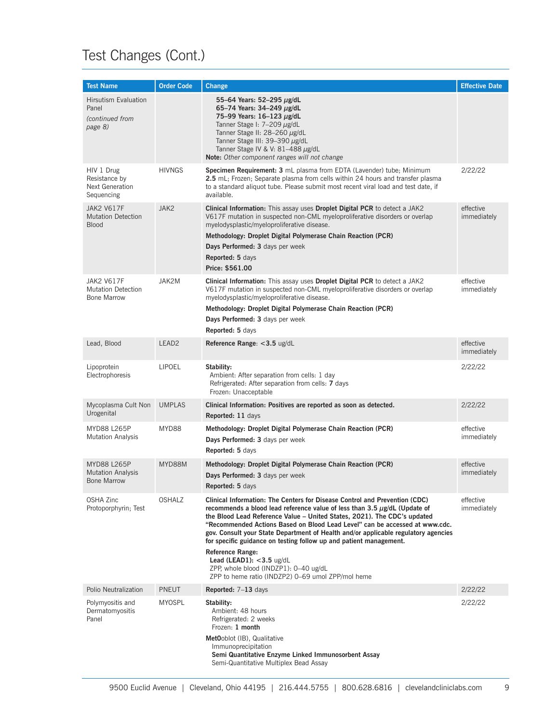| <b>Test Name</b>                                                     | <b>Order Code</b> | Change                                                                                                                                                                                                                                                                                                                                                                                                                                                                                                                                                                                                                                      | <b>Effective Date</b>    |
|----------------------------------------------------------------------|-------------------|---------------------------------------------------------------------------------------------------------------------------------------------------------------------------------------------------------------------------------------------------------------------------------------------------------------------------------------------------------------------------------------------------------------------------------------------------------------------------------------------------------------------------------------------------------------------------------------------------------------------------------------------|--------------------------|
| <b>Hirsutism Evaluation</b><br>Panel<br>(continued from<br>page 8)   |                   | 55–64 Years: 52–295 µg/dL<br>65-74 Years: 34-249 µg/dL<br>75-99 Years: 16-123 µg/dL<br>Tanner Stage I: 7–209 µg/dL<br>Tanner Stage II: 28-260 µg/dL<br>Tanner Stage III: 39–390 µg/dL<br>Tanner Stage IV & V: 81-488 µg/dL<br>Note: Other component ranges will not change                                                                                                                                                                                                                                                                                                                                                                  |                          |
| HIV 1 Drug<br>Resistance by<br>Next Generation<br>Sequencing         | <b>HIVNGS</b>     | Specimen Requirement: 3 mL plasma from EDTA (Lavender) tube; Minimum<br>2.5 mL; Frozen; Separate plasma from cells within 24 hours and transfer plasma<br>to a standard aliquot tube. Please submit most recent viral load and test date, if<br>available.                                                                                                                                                                                                                                                                                                                                                                                  | 2/22/22                  |
| <b>JAK2 V617F</b><br><b>Mutation Detection</b><br><b>Blood</b>       | JAK2              | Clinical Information: This assay uses Droplet Digital PCR to detect a JAK2<br>V617F mutation in suspected non-CML myeloproliferative disorders or overlap<br>myelodysplastic/myeloproliferative disease.<br>Methodology: Droplet Digital Polymerase Chain Reaction (PCR)<br>Days Performed: 3 days per week<br>Reported: 5 days<br>Price: \$561.00                                                                                                                                                                                                                                                                                          | effective<br>immediately |
| <b>JAK2 V617F</b><br><b>Mutation Detection</b><br><b>Bone Marrow</b> | JAK2M             | Clinical Information: This assay uses Droplet Digital PCR to detect a JAK2<br>V617F mutation in suspected non-CML myeloproliferative disorders or overlap<br>myelodysplastic/myeloproliferative disease.<br>Methodology: Droplet Digital Polymerase Chain Reaction (PCR)<br>Days Performed: 3 days per week<br>Reported: 5 days                                                                                                                                                                                                                                                                                                             | effective<br>immediately |
| Lead, Blood                                                          | LEAD <sub>2</sub> | Reference Range: <3.5 ug/dL                                                                                                                                                                                                                                                                                                                                                                                                                                                                                                                                                                                                                 | effective<br>immediately |
| Lipoprotein<br>Electrophoresis                                       | <b>LIPOEL</b>     | Stability:<br>Ambient: After separation from cells: 1 day<br>Refrigerated: After separation from cells: 7 days<br>Frozen: Unacceptable                                                                                                                                                                                                                                                                                                                                                                                                                                                                                                      | 2/22/22                  |
| Mycoplasma Cult Non<br>Urogenital                                    | <b>UMPLAS</b>     | Clinical Information: Positives are reported as soon as detected.<br>Reported: 11 days                                                                                                                                                                                                                                                                                                                                                                                                                                                                                                                                                      | 2/22/22                  |
| MYD88 L265P<br><b>Mutation Analysis</b>                              | MYD88             | Methodology: Droplet Digital Polymerase Chain Reaction (PCR)<br>Days Performed: 3 days per week<br>Reported: 5 days                                                                                                                                                                                                                                                                                                                                                                                                                                                                                                                         | effective<br>immediately |
| <b>MYD88 L265P</b><br><b>Mutation Analysis</b><br><b>Bone Marrow</b> | MYD88M            | Methodology: Droplet Digital Polymerase Chain Reaction (PCR)<br>Days Performed: 3 days per week<br>Reported: 5 days                                                                                                                                                                                                                                                                                                                                                                                                                                                                                                                         | effective<br>immediately |
| <b>OSHA Zinc</b><br>Protoporphyrin; Test                             | <b>OSHALZ</b>     | Clinical Information: The Centers for Disease Control and Prevention (CDC)<br>recommends a blood lead reference value of less than $3.5 \mu$ g/dL (Update of<br>the Blood Lead Reference Value - United States, 2021). The CDC's updated<br>"Recommended Actions Based on Blood Lead Level" can be accessed at www.cdc.<br>gov. Consult your State Department of Health and/or applicable regulatory agencies<br>for specific guidance on testing follow up and patient management.<br><b>Reference Range:</b><br>Lead (LEAD1): $<$ 3.5 ug/dL<br>ZPP, whole blood (INDZP1): 0-40 ug/dL<br>ZPP to heme ratio (INDZP2) 0-69 umol ZPP/mol heme | effective<br>immediately |
| Polio Neutralization                                                 | <b>PNEUT</b>      | <b>Reported:</b> $7-13$ days                                                                                                                                                                                                                                                                                                                                                                                                                                                                                                                                                                                                                | 2/22/22                  |
| Polymyositis and<br>Dermatomyositis<br>Panel                         | MYOSPL            | Stability:<br>Ambient: 48 hours<br>Refrigerated: 2 weeks<br>Frozen: 1 month<br>MetOoblot (IB), Qualitative<br>Immunoprecipitation<br>Semi Quantitative Enzyme Linked Immunosorbent Assay<br>Semi-Quantitative Multiplex Bead Assay                                                                                                                                                                                                                                                                                                                                                                                                          | 2/22/22                  |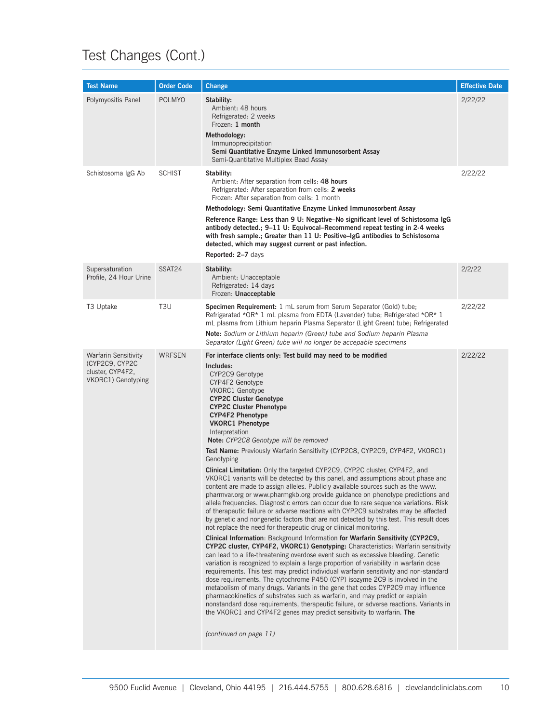| <b>Test Name</b>                                                                 | <b>Order Code</b> | <b>Change</b>                                                                                                                                                                                                                                                                                                                                                                                                                                                                                                                                                                                                                                                                                                                                                                                                                                                                                                                                                                                                                                                                                                                                                                                                                                                                                                                                                                                                                                                                                                                                                                                                                                                                                                                                                                                                                                                                                                                                                                                                 | <b>Effective Date</b> |
|----------------------------------------------------------------------------------|-------------------|---------------------------------------------------------------------------------------------------------------------------------------------------------------------------------------------------------------------------------------------------------------------------------------------------------------------------------------------------------------------------------------------------------------------------------------------------------------------------------------------------------------------------------------------------------------------------------------------------------------------------------------------------------------------------------------------------------------------------------------------------------------------------------------------------------------------------------------------------------------------------------------------------------------------------------------------------------------------------------------------------------------------------------------------------------------------------------------------------------------------------------------------------------------------------------------------------------------------------------------------------------------------------------------------------------------------------------------------------------------------------------------------------------------------------------------------------------------------------------------------------------------------------------------------------------------------------------------------------------------------------------------------------------------------------------------------------------------------------------------------------------------------------------------------------------------------------------------------------------------------------------------------------------------------------------------------------------------------------------------------------------------|-----------------------|
| Polymyositis Panel                                                               | <b>POLMYO</b>     | Stability:<br>Ambient: 48 hours<br>Refrigerated: 2 weeks<br>Frozen: 1 month<br>Methodology:<br>Immunoprecipitation<br>Semi Quantitative Enzyme Linked Immunosorbent Assay<br>Semi-Quantitative Multiplex Bead Assay                                                                                                                                                                                                                                                                                                                                                                                                                                                                                                                                                                                                                                                                                                                                                                                                                                                                                                                                                                                                                                                                                                                                                                                                                                                                                                                                                                                                                                                                                                                                                                                                                                                                                                                                                                                           | 2/22/22               |
| Schistosoma IgG Ab                                                               | <b>SCHIST</b>     | Stability:<br>Ambient: After separation from cells: 48 hours<br>Refrigerated: After separation from cells: 2 weeks<br>Frozen: After separation from cells: 1 month<br>Methodology: Semi Quantitative Enzyme Linked Immunosorbent Assay<br>Reference Range: Less than 9 U: Negative–No significant level of Schistosoma IgG<br>antibody detected.; 9-11 U: Equivocal-Recommend repeat testing in 2-4 weeks<br>with fresh sample.; Greater than 11 U: Positive–IgG antibodies to Schistosoma<br>detected, which may suggest current or past infection.<br>Reported: 2-7 days                                                                                                                                                                                                                                                                                                                                                                                                                                                                                                                                                                                                                                                                                                                                                                                                                                                                                                                                                                                                                                                                                                                                                                                                                                                                                                                                                                                                                                    | 2/22/22               |
| Supersaturation<br>Profile, 24 Hour Urine                                        | SSAT24            | Stability:<br>Ambient: Unacceptable<br>Refrigerated: 14 days<br>Frozen: Unacceptable                                                                                                                                                                                                                                                                                                                                                                                                                                                                                                                                                                                                                                                                                                                                                                                                                                                                                                                                                                                                                                                                                                                                                                                                                                                                                                                                                                                                                                                                                                                                                                                                                                                                                                                                                                                                                                                                                                                          | 2/2/22                |
| T3 Uptake                                                                        | T <sub>3</sub> U  | <b>Specimen Requirement:</b> 1 mL serum from Serum Separator (Gold) tube;<br>Refrigerated *OR* 1 mL plasma from EDTA (Lavender) tube; Refrigerated *OR* 1<br>mL plasma from Lithium heparin Plasma Separator (Light Green) tube; Refrigerated<br>Note: Sodium or Lithium heparin (Green) tube and Sodium heparin Plasma<br>Separator (Light Green) tube will no longer be accepable specimens                                                                                                                                                                                                                                                                                                                                                                                                                                                                                                                                                                                                                                                                                                                                                                                                                                                                                                                                                                                                                                                                                                                                                                                                                                                                                                                                                                                                                                                                                                                                                                                                                 | 2/22/22               |
| Warfarin Sensitivity<br>(CYP2C9, CYP2C<br>cluster, CYP4F2,<br>VKORC1) Genotyping | <b>WRFSEN</b>     | For interface clients only: Test build may need to be modified<br>Includes:<br>CYP2C9 Genotype<br>CYP4F2 Genotype<br>VKORC1 Genotype<br><b>CYP2C Cluster Genotype</b><br><b>CYP2C Cluster Phenotype</b><br><b>CYP4F2 Phenotype</b><br><b>VKORC1 Phenotype</b><br>Interpretation<br>Note: CYP2C8 Genotype will be removed<br>Test Name: Previously Warfarin Sensitivity (CYP2C8, CYP2C9, CYP4F2, VKORC1)<br>Genotyping<br><b>Clinical Limitation:</b> Only the targeted CYP2C9, CYP2C cluster, CYP4F2, and<br>VKORC1 variants will be detected by this panel, and assumptions about phase and<br>content are made to assign alleles. Publicly available sources such as the www.<br>pharmvar.org or www.pharmgkb.org provide guidance on phenotype predictions and<br>allele frequencies. Diagnostic errors can occur due to rare sequence variations. Risk<br>of therapeutic failure or adverse reactions with CYP2C9 substrates may be affected<br>by genetic and nongenetic factors that are not detected by this test. This result does<br>not replace the need for therapeutic drug or clinical monitoring.<br>Clinical Information: Background Information for Warfarin Sensitivity (CYP2C9,<br><b>CYP2C cluster, CYP4F2, VKORC1) Genotyping:</b> Characteristics: Warfarin sensitivity<br>can lead to a life-threatening overdose event such as excessive bleeding. Genetic<br>variation is recognized to explain a large proportion of variability in warfarin dose<br>requirements. This test may predict individual warfarin sensitivity and non-standard<br>dose requirements. The cytochrome P450 (CYP) isozyme 2C9 is involved in the<br>metabolism of many drugs. Variants in the gene that codes CYP2C9 may influence<br>pharmacokinetics of substrates such as warfarin, and may predict or explain<br>nonstandard dose requirements, therapeutic failure, or adverse reactions. Variants in<br>the VKORC1 and CYP4F2 genes may predict sensitivity to warfarin. The<br>(continued on page 11) | 2/22/22               |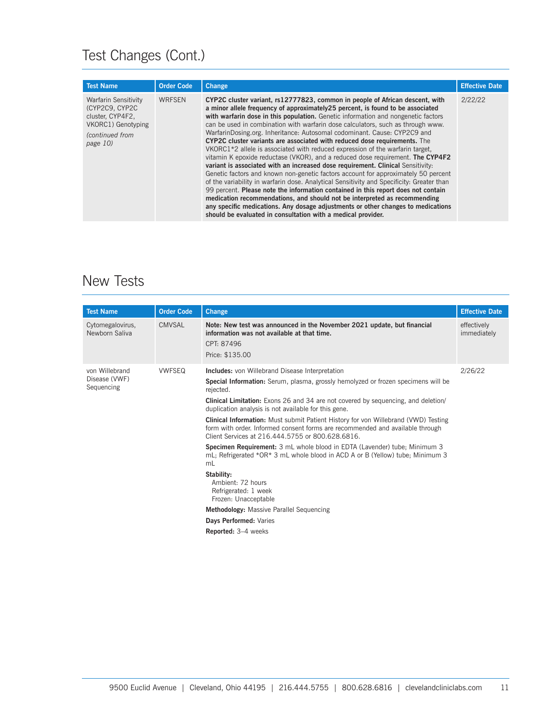| <b>Test Name</b>                                                                                                        | <b>Order Code</b> | <b>Change</b>                                                                                                                                                                                                                                                                                                                                                                                                                                                                                                                                                                                                                                                                                                                                                                                                                                                                                                                                                                                                                                                                                                                                                                                                                                                                | <b>Effective Date</b> |
|-------------------------------------------------------------------------------------------------------------------------|-------------------|------------------------------------------------------------------------------------------------------------------------------------------------------------------------------------------------------------------------------------------------------------------------------------------------------------------------------------------------------------------------------------------------------------------------------------------------------------------------------------------------------------------------------------------------------------------------------------------------------------------------------------------------------------------------------------------------------------------------------------------------------------------------------------------------------------------------------------------------------------------------------------------------------------------------------------------------------------------------------------------------------------------------------------------------------------------------------------------------------------------------------------------------------------------------------------------------------------------------------------------------------------------------------|-----------------------|
| <b>Warfarin Sensitivity</b><br>(CYP2C9, CYP2C)<br>cluster, CYP4F2,<br>VKORC1) Genotyping<br>(continued from<br>page 10) | <b>WRFSEN</b>     | CYP2C cluster variant, rs12777823, common in people of African descent, with<br>a minor allele frequency of approximately 25 percent, is found to be associated<br>with warfarin dose in this population. Genetic information and nongenetic factors<br>can be used in combination with warfarin dose calculators, such as through www.<br>WarfarinDosing.org. Inheritance: Autosomal codominant. Cause: CYP2C9 and<br>CYP2C cluster variants are associated with reduced dose requirements. The<br>VKORC1 <sup>*</sup> 2 allele is associated with reduced expression of the warfarin target,<br>vitamin K epoxide reductase (VKOR), and a reduced dose requirement. The CYP4F2<br>variant is associated with an increased dose requirement. Clinical Sensitivity:<br>Genetic factors and known non-genetic factors account for approximately 50 percent<br>of the variability in warfarin dose. Analytical Sensitivity and Specificity: Greater than<br>99 percent. Please note the information contained in this report does not contain<br>medication recommendations, and should not be interpreted as recommending<br>any specific medications. Any dosage adjustments or other changes to medications<br>should be evaluated in consultation with a medical provider. | 2/22/22               |

#### New Tests

| <b>Test Name</b>                              | <b>Order Code</b> | Change                                                                                                                                                                                                                                                                                                                                                                                                                                                                                                                                         | <b>Effective Date</b>      |
|-----------------------------------------------|-------------------|------------------------------------------------------------------------------------------------------------------------------------------------------------------------------------------------------------------------------------------------------------------------------------------------------------------------------------------------------------------------------------------------------------------------------------------------------------------------------------------------------------------------------------------------|----------------------------|
| Cytomegalovirus,<br>Newborn Saliva            | CMVSAL            | Note: New test was announced in the November 2021 update, but financial<br>information was not available at that time.<br>CPT: 87496<br>Price: \$135.00                                                                                                                                                                                                                                                                                                                                                                                        | effectively<br>immediately |
| von Willebrand<br>Disease (VWF)<br>Sequencing | <b>VWFSEQ</b>     | <b>Includes:</b> von Willebrand Disease Interpretation<br>Special Information: Serum, plasma, grossly hemolyzed or frozen specimens will be<br>rejected.<br><b>Clinical Limitation:</b> Exons 26 and 34 are not covered by sequencing, and deletion/<br>duplication analysis is not available for this gene.<br><b>Clinical Information:</b> Must submit Patient History for von Willebrand (VWD) Testing<br>form with order. Informed consent forms are recommended and available through<br>Client Services at 216.444.5755 or 800.628.6816. | 2/26/22                    |
|                                               |                   | Specimen Requirement: 3 mL whole blood in EDTA (Lavender) tube; Minimum 3<br>mL; Refrigerated *OR* 3 mL whole blood in ACD A or B (Yellow) tube; Minimum 3<br>mL<br>Stability:<br>Ambient: 72 hours<br>Refrigerated: 1 week<br>Frozen: Unacceptable<br>Methodology: Massive Parallel Sequencing<br>Days Performed: Varies                                                                                                                                                                                                                      |                            |
|                                               |                   | Reported: 3-4 weeks                                                                                                                                                                                                                                                                                                                                                                                                                                                                                                                            |                            |